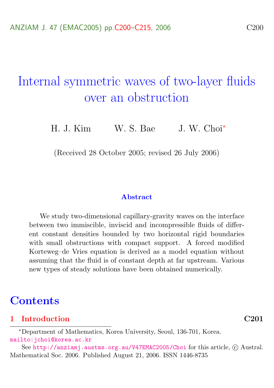# Internal symmetric waves of two-layer fluids over an obstruction

H. J. Kim W. S. Bae J. W. Choi<sup>\*</sup>

(Received 28 October 2005; revised 26 July 2006)

#### Abstract

We study two-dimensional capillary-gravity waves on the interface between two immiscible, inviscid and incompressible fluids of different constant densities bounded by two horizontal rigid boundaries with small obstructions with compact support. A forced modified Korteweg–de Vries equation is derived as a model equation without assuming that the fluid is of constant depth at far upstream. Various new types of steady solutions have been obtained numerically.

### **Contents**

#### [1 Introduction](#page-1-0) C201

<sup>∗</sup>Department of Mathematics, Korea University, Seoul, 136-701, Korea. <mailto:jchoi@korea.ac.kr>

See <http://anziamj.austms.org.au/V47EMAC2005/Choi> for this article, © Austral. Mathematical Soc. 2006. Published August 21, 2006. ISSN 1446-8735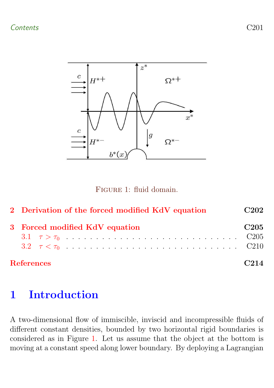Contents C201



<span id="page-1-1"></span>Figure 1: fluid domain.

| 2 Derivation of the forced modified KdV equation | C <sub>202</sub> |
|--------------------------------------------------|------------------|
| 3 Forced modified KdV equation                   | C <sub>205</sub> |
|                                                  |                  |
| <b>References</b>                                | C214             |

## <span id="page-1-0"></span>1 Introduction

A two-dimensional flow of immiscible, inviscid and incompressible fluids of different constant densities, bounded by two horizontal rigid boundaries is considered as in Figure [1.](#page-1-1) Let us assume that the object at the bottom is moving at a constant speed along lower boundary. By deploying a Lagrangian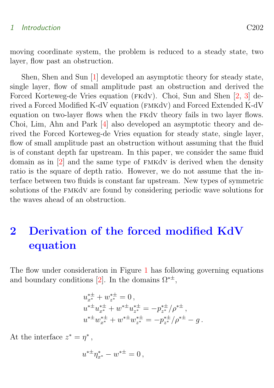#### <span id="page-2-1"></span>1 Introduction C202

moving coordinate system, the problem is reduced to a steady state, two layer, flow past an obstruction.

Shen, Shen and Sun [\[1\]](#page-14-1) developed an asymptotic theory for steady state, single layer, flow of small amplitude past an obstruction and derived the Forced Korteweg-de Vries equation (FKdV). Choi, Sun and Shen [\[2,](#page-14-2) [3\]](#page-15-0) derived a Forced Modified K-dV equation (fmkdv) and Forced Extended K-dV equation on two-layer flows when the fkdv theory fails in two layer flows. Choi, Lim, Ahn and Park [\[4\]](#page-15-1) also developed an asymptotic theory and derived the Forced Korteweg-de Vries equation for steady state, single layer, flow of small amplitude past an obstruction without assuming that the fluid is of constant depth far upstream. In this paper, we consider the same fluid domain as in [\[2\]](#page-14-2) and the same type of fmkdv is derived when the density ratio is the square of depth ratio. However, we do not assume that the interface between two fluids is constant far upstream. New types of symmetric solutions of the FMKdV are found by considering periodic wave solutions for the waves ahead of an obstruction.

# <span id="page-2-0"></span>2 Derivation of the forced modified KdV equation

The flow under consideration in Figure [1](#page-1-1) has following governing equations and boundary conditions [\[2\]](#page-14-2). In the domains  $\Omega^{* \pm}$ ,

$$
u_{x}^{*\pm} + w_{z}^{*\pm} = 0,
$$
  
\n
$$
u^{*\pm} u_{x}^{*\pm} + w^{*\pm} u_{z}^{*\pm} = -p_{z}^{*\pm}/\rho^{*\pm},
$$
  
\n
$$
u^{*\pm} w_{x}^{*\pm} + w^{*\pm} w_{z}^{*\pm} = -p_{z}^{*\pm}/\rho^{*\pm} - g.
$$

At the interface  $z^* = \eta^*$ ,

$$
u^{*\pm}\eta_{x^*}^* - w^{*\pm} = 0,
$$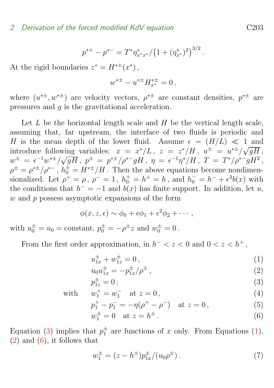$$
p^{*+} - p^{*-} = T^* \eta^*_{x^* x^*} / (1 + (\eta^*_{x^*})^2)^{3/2}.
$$

At the rigid boundaries  $z^* = H^{* \pm}(x^*)$ ,

$$
w^{*\pm} - u^{*\pm} H_{x^*}^{*\pm} = 0 \,,
$$

where  $(u^{*\pm}, w^{*\pm})$  are velocity vectors,  $\rho^{*\pm}$  are constant densities,  $p^{*\pm}$  are pressures and g is the gravitational acceleration.

Let  $L$  be the horizontal length scale and  $H$  be the vertical length scale, assuming that, far upstream, the interface of two fluids is periodic and H is the mean depth of the lower fluid. Assume  $\epsilon = (H/L) \ll 1$  and introduce following variables:  $x = x^*/L$ ,  $z = z^*/H$ ,  $u^{\pm} = u^{*\pm}/\sqrt{gH}$ ,  $w^\pm \ =\ \epsilon^{-1} w^{*\pm}/\sqrt{g H}\,, \; p^\pm \ =\ p^{*\pm}/\rho^{*-}g H\,, \; \eta \ =\ \epsilon^{-1} \eta^{*}/H\,, \; T \ =\ T^{*}/\rho^{*-}g H^2\,,$  $\rho^{\pm} = \rho^{*\pm}/\rho^{*-}$ ,  $h_0^{\pm} = H^{*\pm}/H$ . Then the above equations become nondimensionalized. Let  $\rho^+ = \rho$ ,  $\rho^- = 1$ ,  $h_0^+ = h^+ = h$ , and  $h_0^- = h^- + \epsilon^3 b(x)$  with the conditions that  $h^- = -1$  and  $b(x)$  has finite support. In addition, let u,  $w$  and  $p$  possess asymptotic expansions of the form

$$
\phi(x, z, \epsilon) \sim \phi_0 + \epsilon \phi_1 + \epsilon^2 \phi_2 + \cdots,
$$

with  $u_0^{\pm} = u_0 = \text{constant}, p_0^{\pm} = -\rho^{\pm} z$  and  $w_0^{\pm} = 0$ .

From the first order approximation, in  $h^- < z < 0$  and  $0 < z < h^+$ ,

$$
u_{1x}^{\pm} + w_{1z}^{\pm} = 0, \qquad (1)
$$

<span id="page-3-0"></span>
$$
u_0 u_{1x}^{\pm} = -p_{1x}^{\pm}/\rho^{\pm} , \qquad (2)
$$

$$
p_{1z}^{\pm} = 0 \, ; \tag{3}
$$

with  $w_1^+ = w_1^-$  at  $z = 0$ , (4)

$$
p_1^+ - p_1^- = -\eta(\rho^+ - \rho^-) \quad \text{at } z = 0 \,, \tag{5}
$$

$$
w_1^{\pm} = 0 \quad \text{at } z = h^{\pm} \,. \tag{6}
$$

Equation [\(3\)](#page-3-0) implies that  $p_1^{\pm}$  are functions of x only. From Equations [\(1\)](#page-3-0),  $(2)$  and  $(6)$ , it follows that

$$
w_1^{\pm} = (z - h^{\pm}) p_{1x}^{\pm} / (u_0 \rho^{\pm}). \tag{7}
$$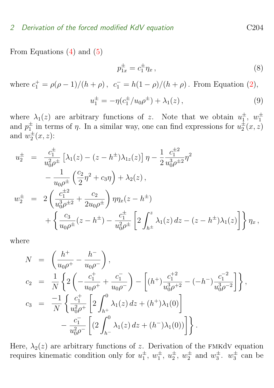### 2 Derivation of the forced modified KdV equation C204

From Equations [\(4\)](#page-3-0) and [\(5\)](#page-3-0)

$$
p_{1x}^{\pm} = c_1^{\pm} \eta_x \,,\tag{8}
$$

where  $c_1^+ = \rho(\rho - 1)/(h + \rho)$ ,  $c_1^- = h(1 - \rho)/(h + \rho)$ . From Equation [\(2\)](#page-3-0),

$$
u_1^{\pm} = -\eta (c_1^{\pm}/u_0 \rho^{\pm}) + \lambda_1(z) , \qquad (9)
$$

where  $\lambda_1(z)$  are arbitrary functions of z. Note that we obtain  $u_1^{\pm}$ ,  $w_1^{\pm}$ and  $p_1^{\pm}$  in terms of  $\eta$ . In a similar way, one can find expressions for  $u_2^{\pm}(x, z)$ and  $w_2^{\pm}(x,z)$ :

$$
u_2^{\pm} = \frac{c_1^{\pm}}{u_0^2 \rho^{\pm}} \left[ \lambda_1(z) - (z - h^{\pm}) \lambda_{1z}(z) \right] \eta - \frac{1}{2} \frac{c_1^{\pm 2}}{u_0^3 \rho^{\pm 2}} \eta^2
$$
  

$$
- \frac{1}{u_0 \rho^{\pm}} \left( \frac{c_2}{2} \eta^2 + c_3 \eta \right) + \lambda_2(z) ,
$$
  

$$
w_2^{\pm} = 2 \left( \frac{c_1^{\pm 2}}{u_0^3 \rho^{\pm 2}} + \frac{c_2}{2u_0 \rho^{\pm}} \right) \eta \eta_x(z - h^{\pm})
$$
  

$$
+ \left\{ \frac{c_3}{u_0 \rho^{\pm}} (z - h^{\pm}) - \frac{c_1^{\pm}}{u_0^2 \rho^{\pm}} \left[ 2 \int_{h^{\pm}}^{z} \lambda_1(z) dz - (z - h^{\pm}) \lambda_1(z) \right] \right\} \eta_x ,
$$

where

$$
N = \left(\frac{h^{+}}{u_{0}\rho^{+}} - \frac{h^{-}}{u_{0}\rho^{-}}\right),
$$
  
\n
$$
c_{2} = \frac{1}{N} \left\{ 2\left(-\frac{c_{1}^{+}}{u_{0}\rho^{+}} + \frac{c_{1}^{-}}{u_{0}\rho^{-}}\right) - \left[(h^{+})\frac{c_{1}^{+2}}{u_{0}^{3}\rho^{+2}} - (-h^{-})\frac{c_{1}^{-2}}{u_{0}^{3}\rho^{-2}}\right] \right\},
$$
  
\n
$$
c_{3} = \frac{-1}{N} \left\{ \frac{c_{1}^{+}}{u_{0}^{2}\rho^{+}} \left[ 2\int_{h^{+}}^{0} \lambda_{1}(z) dz + (h^{+})\lambda_{1}(0) \right] - \frac{c_{1}^{-}}{u_{0}^{2}\rho^{-}} \left[ \left( 2\int_{h^{-}}^{0} \lambda_{1}(z) dz + (h^{-})\lambda_{1}(0) \right) \right] \right\}.
$$

Here,  $\lambda_2(z)$  are arbitrary functions of z. Derivation of the FMKdV equation requires kinematic condition only for  $u_1^{\pm}$ ,  $w_1^{\pm}$ ,  $w_2^{\pm}$ ,  $w_2^{\pm}$  and  $w_3^{\pm}$ .  $w_3^{\pm}$  can be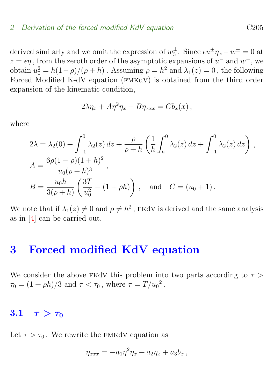### <span id="page-5-2"></span>2 Derivation of the forced modified KdV equation C205

derived similarly and we omit the expression of  $w_3^{\pm}$ . Since  $\epsilon u^{\pm} \eta_x - w^{\pm} = 0$  at  $z = \epsilon \eta$ , from the zeroth order of the asymptotic expansions of  $u^-$  and  $w^-$ , we obtain  $u_0^2 = h(1-\rho)/(\rho + h)$ . Assuming  $\rho = h^2$  and  $\lambda_1(z) = 0$ , the following Forced Modified K-dV equation (FMKdV) is obtained from the third order expansion of the kinematic condition,

$$
2\lambda \eta_x + A\eta^2 \eta_x + B\eta_{xxx} = Cb_x(x),
$$

where

$$
2\lambda = \lambda_2(0) + \int_{-1}^0 \lambda_2(z) dz + \frac{\rho}{\rho + h} \left( \frac{1}{h} \int_h^0 \lambda_2(z) dz + \int_{-1}^0 \lambda_2(z) dz \right),
$$
  
\n
$$
A = \frac{6\rho(1 - \rho)(1 + h)^2}{u_0(\rho + h)^3},
$$
  
\n
$$
B = \frac{u_0 h}{3(\rho + h)} \left( \frac{3T}{u_0^2} - (1 + \rho h) \right), \text{ and } C = (u_0 + 1).
$$

We note that if  $\lambda_1(z) \neq 0$  and  $\rho \neq h^2$ , FKdV is derived and the same analysis as in [\[4\]](#page-15-1) can be carried out.

### <span id="page-5-0"></span>3 Forced modified KdV equation

We consider the above FKdv this problem into two parts according to  $\tau >$  $\tau_0 = (1 + \rho h)/3$  and  $\tau < \tau_0$ , where  $\tau = T/u_0^2$ .

### <span id="page-5-1"></span>3.1  $\tau > \tau_0$

Let  $\tau > \tau_0$ . We rewrite the FMKdV equation as

$$
\eta_{xxx} = -a_1\eta^2\eta_x + a_2\eta_x + a_3b_x,
$$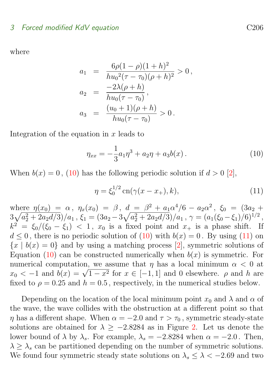### <span id="page-6-2"></span>3 Forced modified KdV equation C206

where

$$
a_1 = \frac{6\rho(1-\rho)(1+h)^2}{hu_0^2(\tau-\tau_0)(\rho+h)^2} > 0,
$$
  
\n
$$
a_2 = \frac{-2\lambda(\rho+h)}{hu_0(\tau-\tau_0)},
$$
  
\n
$$
a_3 = \frac{(u_0+1)(\rho+h)}{hu_0(\tau-\tau_0)} > 0.
$$

Integration of the equation in  $x$  leads to

<span id="page-6-0"></span>
$$
\eta_{xx} = -\frac{1}{3}a_1\eta^3 + a_2\eta + a_3b(x) \,. \tag{10}
$$

When  $b(x) = 0$ , [\(10\)](#page-6-0) has the following periodic solution if  $d > 0$  [\[2\]](#page-14-2),

<span id="page-6-1"></span>
$$
\eta = \xi_0^{1/2} \operatorname{cn}(\gamma(x - x_+), k), \tag{11}
$$

where  $\eta(x_0) = \alpha$ ,  $\eta_x(x_0) = \beta$ ,  $d = \beta^2 + a_1 \alpha^4/6 - a_2 \alpha^2$ ,  $\xi_0 = (3a_2 +$  $3\sqrt{a_2^2+2a_2d/3})/a_1$  ,  $\xi_1=(3a_2-3\sqrt{a_2^2+2a_2d/3})/a_1$  ,  $\gamma=(a_1(\xi_0-\xi_1)/6)^{1/2}$  ,  $k^2 = \xi_0/(\xi_0 - \xi_1) < 1$ ,  $x_0$  is a fixed point and  $x_+$  is a phase shift. If  $d \leq 0$ , there is no periodic solution of [\(10\)](#page-6-0) with  $b(x) = 0$ . By using [\(11\)](#page-6-1) on  ${x | b(x) = 0}$  and by using a matching process [\[2\]](#page-14-2), symmetric solutions of Equation [\(10\)](#page-6-0) can be constructed numerically when  $b(x)$  is symmetric. For numerical computation, we assume that  $\eta$  has a local minimum  $\alpha < 0$  at numerical computation, we assume that  $\eta$  has a local minimum  $\alpha < 0$  at  $x_0 < -1$  and  $b(x) = \sqrt{1-x^2}$  for  $x \in [-1,1]$  and 0 elsewhere.  $\rho$  and h are fixed to  $\rho = 0.25$  and  $h = 0.5$ , respectively, in the numerical studies below.

Depending on the location of the local minimum point  $x_0$  and  $\lambda$  and  $\alpha$  of the wave, the wave collides with the obstruction at a different point so that  $\eta$  has a different shape. When  $\alpha = -2.0$  and  $\tau > \tau_0$ , symmetric steady-state solutions are obtained for  $\lambda > -2.8284$  $\lambda > -2.8284$  $\lambda > -2.8284$  as in Figure 2. Let us denote the lower bound of  $\lambda$  by  $\lambda_s$ . For example,  $\lambda_s = -2.8284$  when  $\alpha = -2.0$ . Then,  $\lambda > \lambda_s$  can be partitioned depending on the number of symmetric solutions. We found four symmetric steady state solutions on  $\lambda_s \leq \lambda < -2.69$  and two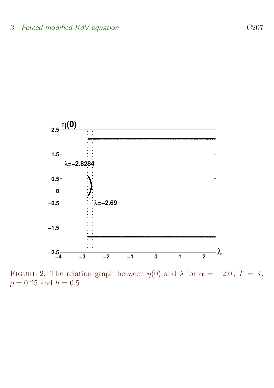

<span id="page-7-0"></span>FIGURE 2: The relation graph between  $\eta(0)$  and  $\lambda$  for  $\alpha = -2.0$ ,  $T = 3$ ,  $\rho = 0.25$  and  $h = 0.5$ .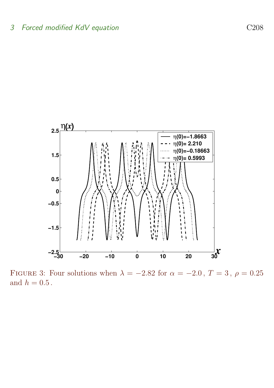

<span id="page-8-0"></span>FIGURE 3: Four solutions when  $\lambda = -2.82$  for  $\alpha = -2.0$ ,  $T = 3$ ,  $\rho = 0.25$ and  $h = 0.5$ .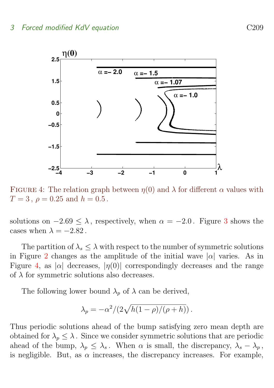

<span id="page-9-0"></span>FIGURE 4: The relation graph between  $\eta(0)$  and  $\lambda$  for different  $\alpha$  values with  $T = 3$ ,  $\rho = 0.25$  and  $h = 0.5$ .

solutions on  $-2.69 \leq \lambda$ , respectively, when  $\alpha = -2.0$ . Figure [3](#page-8-0) shows the cases when  $\lambda = -2.82$ .

The partition of  $\lambda_s \leq \lambda$  with respect to the number of symmetric solutions in Figure [2](#page-7-0) changes as the amplitude of the initial wave  $|\alpha|$  varies. As in Figure [4,](#page-9-0) as  $|\alpha|$  decreases,  $|\eta(0)|$  correspondingly decreases and the range of  $\lambda$  for symmetric solutions also decreases.

The following lower bound  $\lambda_p$  of  $\lambda$  can be derived,

$$
\lambda_p = -\alpha^2/(2\sqrt{h(1-\rho)/(\rho+h)})
$$

Thus periodic solutions ahead of the bump satisfying zero mean depth are obtained for  $\lambda_p \leq \lambda$ . Since we consider symmetric solutions that are periodic ahead of the bump,  $\lambda_p \leq \lambda_s$ . When  $\alpha$  is small, the discrepancy,  $\lambda_s - \lambda_p$ , is negligible. But, as  $\alpha$  increases, the discrepancy increases. For example,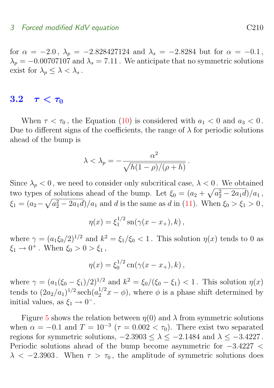#### 3 Forced modified KdV equation C210

for  $\alpha = -2.0$ ,  $\lambda_p = -2.828427124$  and  $\lambda_s = -2.8284$  but for  $\alpha = -0.1$ ,  $\lambda_p = -0.00707107$  and  $\lambda_s = 7.11$ . We anticipate that no symmetric solutions exist for  $\lambda_p \leq \lambda < \lambda_s$ .

### <span id="page-10-0"></span>3.2  $\tau < \tau_0$

When  $\tau < \tau_0$ , the Equation [\(10\)](#page-6-0) is considered with  $a_1 < 0$  and  $a_3 < 0$ . Due to different signs of the coefficients, the range of  $\lambda$  for periodic solutions ahead of the bump is

$$
\lambda < \lambda_p = -\frac{\alpha^2}{\sqrt{h(1-\rho)/(\rho+h)}}.
$$

Since  $\lambda_p < 0$ , we need to consider only subcritical case,  $\lambda < 0$ . We obtained two types of solutions ahead of the bump. Let  $\xi_0 = (a_2 + \sqrt{a_2^2 - 2a_1 d})/a_1$ ,  $\xi_1 = (a_2 - \sqrt{a_2^2 - 2a_1 d})/a_1$  and d is the same as d in [\(11\)](#page-6-1). When  $\xi_0 > \xi_1 > 0$ ,

$$
\eta(x) = \xi_1^{1/2} \operatorname{sn}(\gamma(x - x_+), k),
$$

where  $\gamma = (a_1 \xi_0/2)^{1/2}$  and  $k^2 = \xi_1/\xi_0 < 1$ . This solution  $\eta(x)$  tends to 0 as  $\xi_1 \to 0^+$ . When  $\xi_0 > 0 > \xi_1$ ,

$$
\eta(x) = \xi_0^{1/2} \operatorname{cn}(\gamma(x - x_+), k),
$$

where  $\gamma = (a_1(\xi_0 - \xi_1)/2)^{1/2}$  and  $k^2 = \xi_0/(\xi_0 - \xi_1) < 1$ . This solution  $\eta(x)$ tends to  $(2a_2/a_1)^{1/2}$  sech $(a_2^{1/2}x - \phi)$ , where  $\phi$  is a phase shift determined by initial values, as  $\xi_1 \rightarrow 0^-$ .

Figure [5](#page-11-0) shows the relation between  $\eta(0)$  and  $\lambda$  from symmetric solutions when  $\alpha = -0.1$  and  $T = 10^{-3}$  ( $\tau = 0.002 < \tau_0$ ). There exist two separated regions for symmetric solutions,  $-2.3903 \leq \lambda \leq -2.1484$  and  $\lambda \leq -3.4227$ . Periodic solutions ahead of the bump become asymmetric for −3.4227 <  $\lambda < -2.3903$ . When  $\tau > \tau_0$ , the amplitude of symmetric solutions does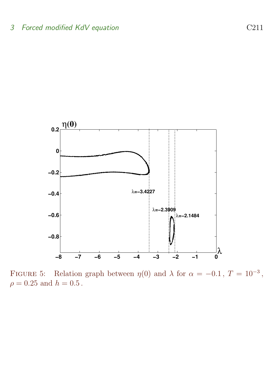

<span id="page-11-0"></span>FIGURE 5: Relation graph between  $\eta(0)$  and  $\lambda$  for  $\alpha = -0.1$ ,  $T = 10^{-3}$ ,  $\rho=0.25$  and  $h=0.5$  .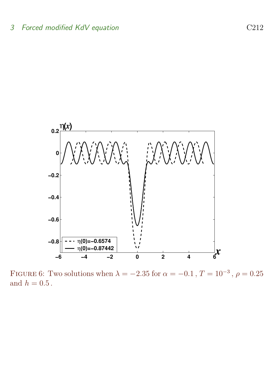

<span id="page-12-0"></span>FIGURE 6: Two solutions when  $\lambda = -2.35$  for  $\alpha = -0.1$ ,  $T = 10^{-3}$ ,  $\rho = 0.25$ and  $h = 0.5$ .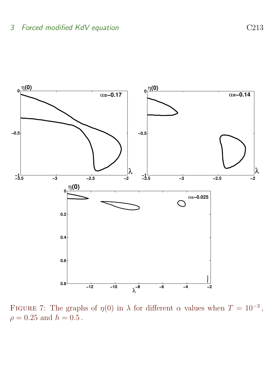

<span id="page-13-0"></span>FIGURE 7: The graphs of  $\eta(0)$  in  $\lambda$  for different  $\alpha$  values when  $T = 10^{-3}$ ,  $\rho = 0.25$  and  $h = 0.5$ .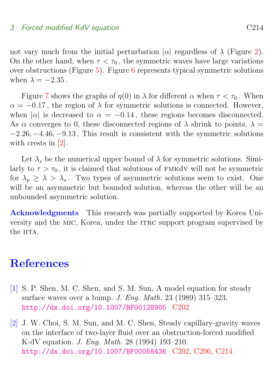#### <span id="page-14-3"></span>3 Forced modified KdV equation C214

not vary much from the initial perturbation  $|α|$  regardless of  $λ$  (Figure [2\)](#page-7-0). On the other hand, when  $\tau < \tau_0$ , the symmetric waves have large variations over obstructions (Figure  $5$ ). Figure [6](#page-12-0) represents typical symmetric solutions when  $\lambda = -2.35$ .

Figure [7](#page-13-0) shows the graphs of  $\eta(0)$  in  $\lambda$  for different  $\alpha$  when  $\tau < \tau_0$ . When  $\alpha = -0.17$ , the region of  $\lambda$  for symmetric solutions is connected. However, when  $|\alpha|$  is decreased to  $\alpha = -0.14$ , these regions becomes disconnected. As  $\alpha$  converges to 0, these disconnected regions of  $\lambda$  shrink to points,  $\lambda =$  $-2.26, -4.46, -9.13$ , This result is consistent with the symmetric solutions with crests in [\[2\]](#page-14-2).

Let  $\lambda_s$  be the numerical upper bound of  $\lambda$  for symmetric solutions. Similarly to  $\tau > \tau_0$ , it is claimed that solutions of FMKdV will not be symmetric for  $\lambda_p \geq \lambda > \lambda_s$ . Two types of asymmetric solutions seem to exist. One will be an asymmetric but bounded solution, whereas the other will be an unbounded asymmetric solution.

Acknowledgments This research was partially supported by Korea University and the MIC, Korea, under the ITRC support program supervised by the **IITA** 

### **References**

- <span id="page-14-1"></span><span id="page-14-0"></span>[1] S. P. Shen, M. C. Shen, and S. M. Sun, A model equation for steady surface waves over a bump. J. Eng. Math. 23 (1989) 315–323. <http://dx.doi.org/10.1007/BF00128905> [C202](#page-2-1)
- <span id="page-14-2"></span>[2] J. W. Choi, S. M. Sun, and M. C. Shen, Steady capillary-gravity waves on the interface of two-layer fluid over an obstruction-forced modified K-dV equation. J. Eng. Math. 28 (1994) 193–210. <http://dx.doi.org/10.1007/BF00058436> [C202,](#page-2-1) [C206,](#page-6-2) [C214](#page-14-3)